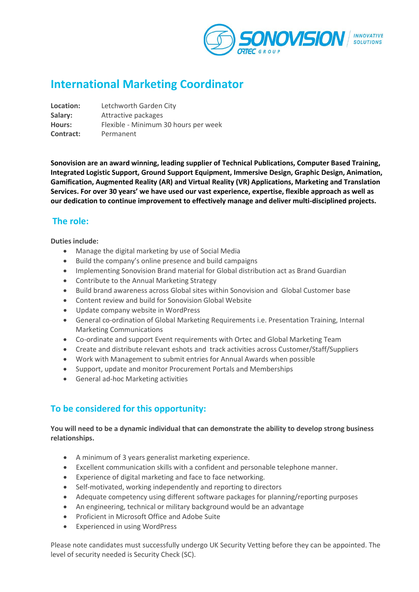

# **International Marketing Coordinator**

**Location:** Letchworth Garden City **Salary:** Attractive packages **Hours:** Flexible - Minimum 30 hours per week **Contract:** Permanent

**Sonovision are an award winning, leading supplier of Technical Publications, Computer Based Training, Integrated Logistic Support, Ground Support Equipment, Immersive Design, Graphic Design, Animation, Gamification, Augmented Reality (AR) and Virtual Reality (VR) Applications, Marketing and Translation Services. For over 30 years' we have used our vast experience, expertise, flexible approach as well as our dedication to continue improvement to effectively manage and deliver multi-disciplined projects.** 

# **The role:**

**Duties include:**

- Manage the digital marketing by use of Social Media
- Build the company's online presence and build campaigns
- Implementing Sonovision Brand material for Global distribution act as Brand Guardian
- Contribute to the Annual Marketing Strategy
- Build brand awareness across Global sites within Sonovision and Global Customer base
- Content review and build for Sonovision Global Website
- Update company website in WordPress
- General co-ordination of Global Marketing Requirements i.e. Presentation Training, Internal Marketing Communications
- Co-ordinate and support Event requirements with Ortec and Global Marketing Team
- Create and distribute relevant eshots and track activities across Customer/Staff/Suppliers
- Work with Management to submit entries for Annual Awards when possible
- Support, update and monitor Procurement Portals and Memberships
- General ad-hoc Marketing activities

## **To be considered for this opportunity:**

#### **You will need to be a dynamic individual that can demonstrate the ability to develop strong business relationships.**

- A minimum of 3 years generalist marketing experience.
- Excellent communication skills with a confident and personable telephone manner.
- Experience of digital marketing and face to face networking.
- Self-motivated, working independently and reporting to directors
- Adequate competency using different software packages for planning/reporting purposes
- An engineering, technical or military background would be an advantage
- Proficient in Microsoft Office and Adobe Suite
- Experienced in using WordPress

Please note candidates must successfully undergo UK Security Vetting before they can be appointed. The level of security needed is Security Check (SC).